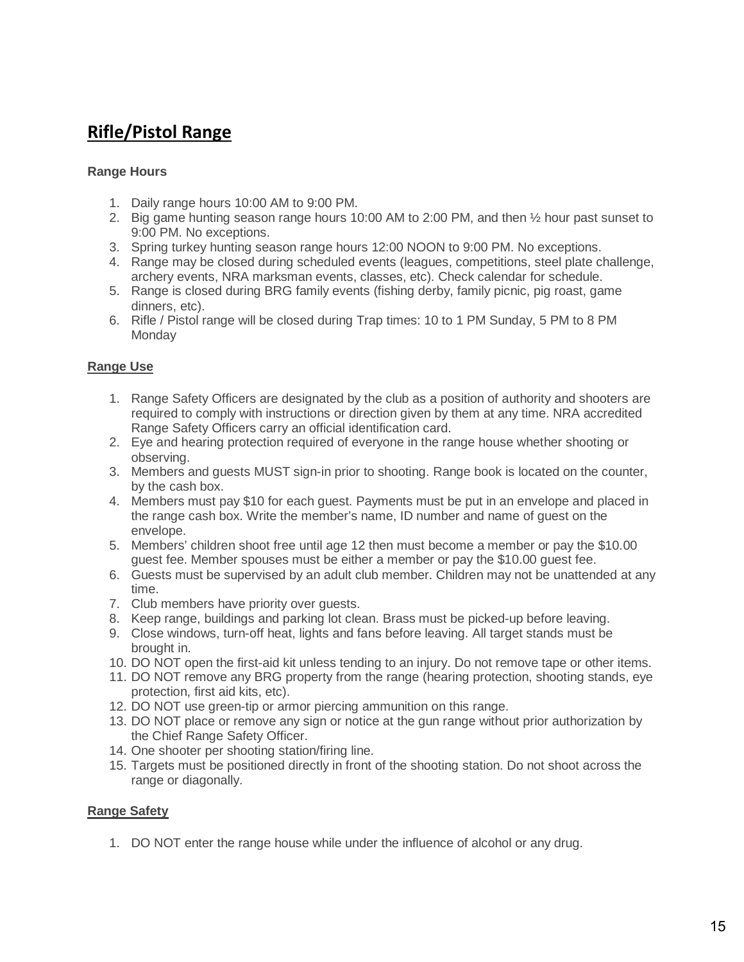# **Rifle/Pistol Range**

#### **Range Hours**

- 1. Daily range hours 10:00 AM to 9:00 PM.
- 2. Big game hunting season range hours 10:00 AM to 2:00 PM, and then ½ hour past sunset to 9:00 PM. No exceptions.
- 3. Spring turkey hunting season range hours 12:00 NOON to 9:00 PM. No exceptions.
- 4. Range may be closed during scheduled events (leagues, competitions, steel plate challenge, archery events, NRA marksman events, classes, etc). Check calendar for schedule.
- 5. Range is closed during BRG family events (fishing derby, family picnic, pig roast, game dinners, etc).
- 6. Rifle / Pistol range will be closed during Trap times: 10 to 1 PM Sunday, 5 PM to 8 PM **Monday**

#### **Range Use**

- 1. Range Safety Officers are designated by the club as a position of authority and shooters are required to comply with instructions or direction given by them at any time. NRA accredited Range Safety Officers carry an official identification card.
- 2. Eye and hearing protection required of everyone in the range house whether shooting or observing.
- 3. Members and guests MUST sign-in prior to shooting. Range book is located on the counter, by the cash box.
- 4. Members must pay \$10 for each guest. Payments must be put in an envelope and placed in the range cash box. Write the member's name, ID number and name of guest on the envelope.
- 5. Members' children shoot free until age 12 then must become a member or pay the \$10.00 guest fee. Member spouses must be either a member or pay the \$10.00 guest fee.
- 6. Guests must be supervised by an adult club member. Children may not be unattended at any time.
- 7. Club members have priority over guests.
- 8. Keep range, buildings and parking lot clean. Brass must be picked-up before leaving.
- 9. Close windows, turn-off heat, lights and fans before leaving. All target stands must be brought in.
- 10. DO NOT open the first-aid kit unless tending to an injury. Do not remove tape or other items.
- 11. DO NOT remove any BRG property from the range (hearing protection, shooting stands, eye protection, first aid kits, etc).
- 12. DO NOT use green-tip or armor piercing ammunition on this range.
- 13. DO NOT place or remove any sign or notice at the gun range without prior authorization by the Chief Range Safety Officer.
- 14. One shooter per shooting station/firing line.
- 15. Targets must be positioned directly in front of the shooting station. Do not shoot across the range or diagonally.

#### **Range Safety**

1. DO NOT enter the range house while under the influence of alcohol or any drug.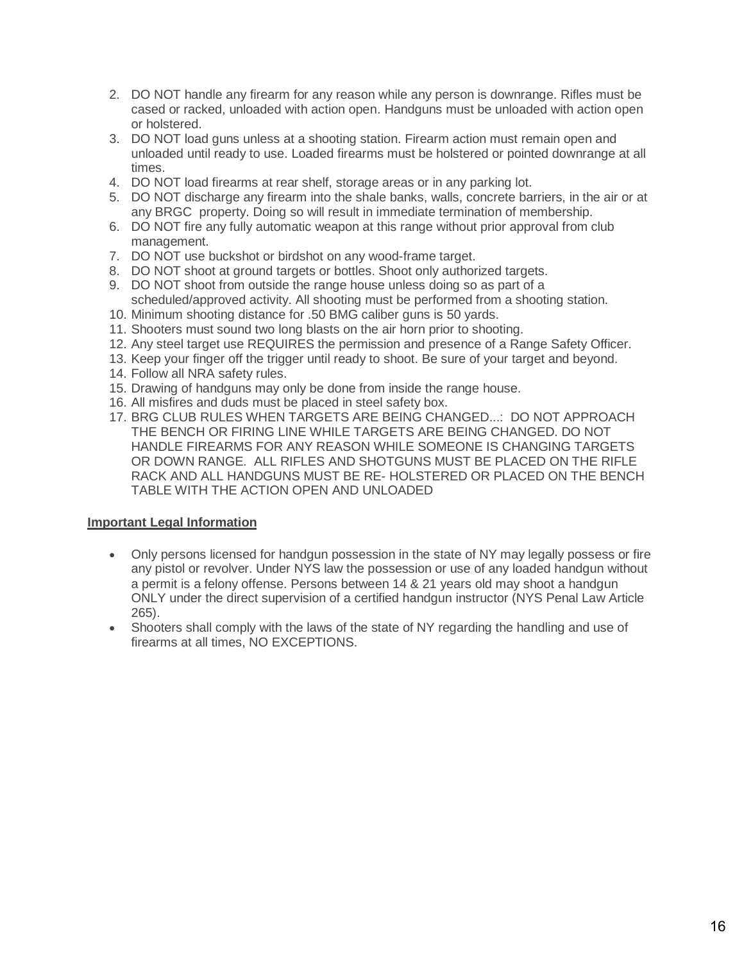- 2. DO NOT handle any firearm for any reason while any person is downrange. Rifles must be cased or racked, unloaded with action open. Handguns must be unloaded with action open or holstered.
- 3. DO NOT load guns unless at a shooting station. Firearm action must remain open and unloaded until ready to use. Loaded firearms must be holstered or pointed downrange at all times.
- 4. DO NOT load firearms at rear shelf, storage areas or in any parking lot.
- 5. DO NOT discharge any firearm into the shale banks, walls, concrete barriers, in the air or at any BRGC property. Doing so will result in immediate termination of membership.
- 6. DO NOT fire any fully automatic weapon at this range without prior approval from club management.
- 7. DO NOT use buckshot or birdshot on any wood-frame target.
- 8. DO NOT shoot at ground targets or bottles. Shoot only authorized targets.
- 9. DO NOT shoot from outside the range house unless doing so as part of a scheduled/approved activity. All shooting must be performed from a shooting station.
- 10. Minimum shooting distance for .50 BMG caliber guns is 50 yards.
- 11. Shooters must sound two long blasts on the air horn prior to shooting.
- 12. Any steel target use REQUIRES the permission and presence of a Range Safety Officer.
- 13. Keep your finger off the trigger until ready to shoot. Be sure of your target and beyond.
- 14. Follow all NRA safety rules.
- 15. Drawing of handguns may only be done from inside the range house.
- 16. All misfires and duds must be placed in steel safety box.
- 17. BRG CLUB RULES WHEN TARGETS ARE BEING CHANGED...: DO NOT APPROACH THE BENCH OR FIRING LINE WHILE TARGETS ARE BEING CHANGED. DO NOT HANDLE FIREARMS FOR ANY REASON WHILE SOMEONE IS CHANGING TARGETS OR DOWN RANGE. ALL RIFLES AND SHOTGUNS MUST BE PLACED ON THE RIFLE RACK AND ALL HANDGUNS MUST BE RE- HOLSTERED OR PLACED ON THE BENCH TABLE WITH THE ACTION OPEN AND UNLOADED

#### **Important Legal Information**

- Only persons licensed for handgun possession in the state of NY may legally possess or fire any pistol or revolver. Under NYS law the possession or use of any loaded handgun without a permit is a felony offense. Persons between 14 & 21 years old may shoot a handgun ONLY under the direct supervision of a certified handgun instructor (NYS Penal Law Article 265).
- Shooters shall comply with the laws of the state of NY regarding the handling and use of firearms at all times, NO EXCEPTIONS.